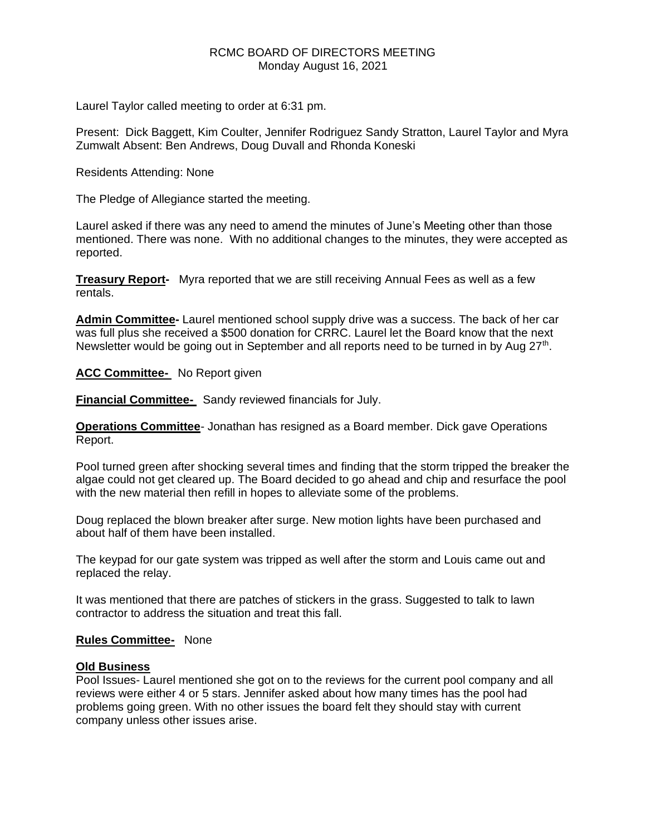# RCMC BOARD OF DIRECTORS MEETING Monday August 16, 2021

Laurel Taylor called meeting to order at 6:31 pm.

Present: Dick Baggett, Kim Coulter, Jennifer Rodriguez Sandy Stratton, Laurel Taylor and Myra Zumwalt Absent: Ben Andrews, Doug Duvall and Rhonda Koneski

Residents Attending: None

The Pledge of Allegiance started the meeting.

Laurel asked if there was any need to amend the minutes of June's Meeting other than those mentioned. There was none. With no additional changes to the minutes, they were accepted as reported.

**Treasury Report-** Myra reported that we are still receiving Annual Fees as well as a few rentals.

**Admin Committee-** Laurel mentioned school supply drive was a success. The back of her car was full plus she received a \$500 donation for CRRC. Laurel let the Board know that the next Newsletter would be going out in September and all reports need to be turned in by Aug 27<sup>th</sup>.

**ACC Committee-** No Report given

**Financial Committee-** Sandy reviewed financials for July.

**Operations Committee**- Jonathan has resigned as a Board member. Dick gave Operations Report.

Pool turned green after shocking several times and finding that the storm tripped the breaker the algae could not get cleared up. The Board decided to go ahead and chip and resurface the pool with the new material then refill in hopes to alleviate some of the problems.

Doug replaced the blown breaker after surge. New motion lights have been purchased and about half of them have been installed.

The keypad for our gate system was tripped as well after the storm and Louis came out and replaced the relay.

It was mentioned that there are patches of stickers in the grass. Suggested to talk to lawn contractor to address the situation and treat this fall.

## **Rules Committee-** None

## **Old Business**

Pool Issues- Laurel mentioned she got on to the reviews for the current pool company and all reviews were either 4 or 5 stars. Jennifer asked about how many times has the pool had problems going green. With no other issues the board felt they should stay with current company unless other issues arise.